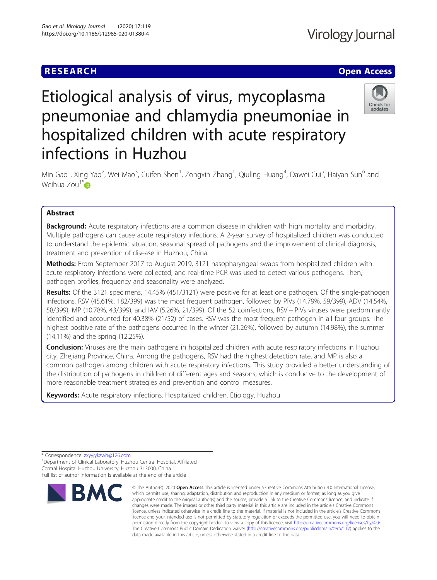

# Etiological analysis of virus, mycoplasma pneumoniae and chlamydia pneumoniae in hospitalized children with acute respiratory infections in Huzhou



Min Gao<sup>1</sup>, Xing Yao<sup>2</sup>, Wei Mao<sup>3</sup>, Cuifen Shen<sup>1</sup>, Zongxin Zhang<sup>1</sup>, Qiuling Huang<sup>4</sup>, Dawei Cui<sup>5</sup>, Haiyan Sun<sup>6</sup> and Weihua Zou $1^*$ D

## Abstract

**Background:** Acute respiratory infections are a common disease in children with high mortality and morbidity. Multiple pathogens can cause acute respiratory infections. A 2-year survey of hospitalized children was conducted to understand the epidemic situation, seasonal spread of pathogens and the improvement of clinical diagnosis, treatment and prevention of disease in Huzhou, China.

Methods: From September 2017 to August 2019, 3121 nasopharyngeal swabs from hospitalized children with acute respiratory infections were collected, and real-time PCR was used to detect various pathogens. Then, pathogen profiles, frequency and seasonality were analyzed.

Results: Of the 3121 specimens, 14.45% (451/3121) were positive for at least one pathogen. Of the single-pathogen infections, RSV (45.61%, 182/399) was the most frequent pathogen, followed by PIVs (14.79%, 59/399), ADV (14.54%, 58/399), MP (10.78%, 43/399), and IAV (5.26%, 21/399). Of the 52 coinfections, RSV + PIVs viruses were predominantly identified and accounted for 40.38% (21/52) of cases. RSV was the most frequent pathogen in all four groups. The highest positive rate of the pathogens occurred in the winter (21.26%), followed by autumn (14.98%), the summer (14.11%) and the spring (12.25%).

Conclusion: Viruses are the main pathogens in hospitalized children with acute respiratory infections in Huzhou city, Zhejiang Province, China. Among the pathogens, RSV had the highest detection rate, and MP is also a common pathogen among children with acute respiratory infections. This study provided a better understanding of the distribution of pathogens in children of different ages and seasons, which is conducive to the development of more reasonable treatment strategies and prevention and control measures.

Keywords: Acute respiratory infections, Hospitalized children, Etiology, Huzhou

<sup>1</sup> Department of Clinical Laboratory, Huzhou Central Hospital, Affiliated Central Hospital Huzhou University, Huzhou 313000, China Full list of author information is available at the end of the article



<sup>©</sup> The Author(s), 2020 **Open Access** This article is licensed under a Creative Commons Attribution 4.0 International License, which permits use, sharing, adaptation, distribution and reproduction in any medium or format, as long as you give appropriate credit to the original author(s) and the source, provide a link to the Creative Commons licence, and indicate if changes were made. The images or other third party material in this article are included in the article's Creative Commons licence, unless indicated otherwise in a credit line to the material. If material is not included in the article's Creative Commons licence and your intended use is not permitted by statutory regulation or exceeds the permitted use, you will need to obtain permission directly from the copyright holder. To view a copy of this licence, visit [http://creativecommons.org/licenses/by/4.0/.](http://creativecommons.org/licenses/by/4.0/) The Creative Commons Public Domain Dedication waiver [\(http://creativecommons.org/publicdomain/zero/1.0/](http://creativecommons.org/publicdomain/zero/1.0/)) applies to the data made available in this article, unless otherwise stated in a credit line to the data.

<sup>\*</sup> Correspondence: [zxyyjykzwh@126.com](mailto:zxyyjykzwh@126.com) <sup>1</sup>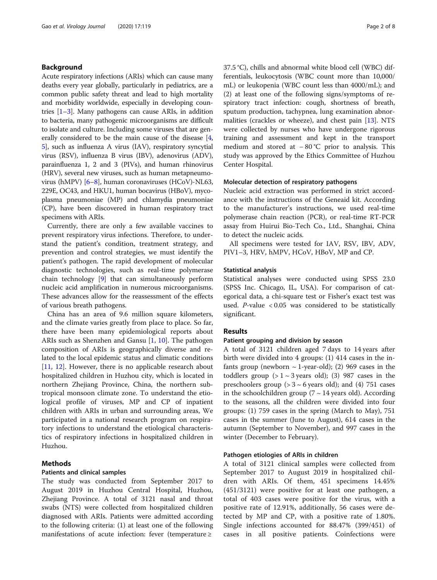## Background

Acute respiratory infections (ARIs) which can cause many deaths every year globally, particularly in pediatrics, are a common public safety threat and lead to high mortality and morbidity worldwide, especially in developing countries  $[1-3]$  $[1-3]$  $[1-3]$  $[1-3]$  $[1-3]$ . Many pathogens can cause ARIs, in addition to bacteria, many pathogenic microorganisms are difficult to isolate and culture. Including some viruses that are generally considered to be the main cause of the disease [[4](#page-6-0), [5\]](#page-6-0), such as influenza A virus (IAV), respiratory syncytial virus (RSV), influenza B virus (IBV), adenovirus (ADV), parainfluenza 1, 2 and 3 (PIVs), and human rhinovirus (HRV), several new viruses, such as human metapneumovirus (hMPV) [[6](#page-6-0)–[8](#page-6-0)], human coronaviruses (HCoV)-NL63, 229E, OC43, and HKU1, human bocavirus (HBoV), mycoplasma pneumoniae (MP) and chlamydia pneumoniae (CP), have been discovered in human respiratory tract specimens with ARIs.

Currently, there are only a few available vaccines to prevent respiratory virus infections. Therefore, to understand the patient's condition, treatment strategy, and prevention and control strategies, we must identify the patient's pathogen. The rapid development of molecular diagnostic technologies, such as real-time polymerase chain technology [\[9\]](#page-6-0) that can simultaneously perform nucleic acid amplification in numerous microorganisms. These advances allow for the reassessment of the effects of various breath pathogens.

China has an area of 9.6 million square kilometers, and the climate varies greatly from place to place. So far, there have been many epidemiological reports about ARIs such as Shenzhen and Gansu [\[1](#page-6-0), [10](#page-6-0)]. The pathogen composition of ARIs is geographically diverse and related to the local epidemic status and climatic conditions [[11,](#page-6-0) [12](#page-6-0)]. However, there is no applicable research about hospitalized children in Huzhou city, which is located in northern Zhejiang Province, China, the northern subtropical monsoon climate zone. To understand the etiological profile of viruses, MP and CP of inpatient children with ARIs in urban and surrounding areas, We participated in a national research program on respiratory infections to understand the etiological characteristics of respiratory infections in hospitalized children in Huzhou.

## Methods

## Patients and clinical samples

The study was conducted from September 2017 to August 2019 in Huzhou Central Hospital, Huzhou, Zhejiang Province. A total of 3121 nasal and throat swabs (NTS) were collected from hospitalized children diagnosed with ARIs. Patients were admitted according to the following criteria: (1) at least one of the following manifestations of acute infection: fever (temperature ≥

37.5 °C), chills and abnormal white blood cell (WBC) differentials, leukocytosis (WBC count more than 10,000/ mL) or leukopenia (WBC count less than 4000/mL); and (2) at least one of the following signs/symptoms of respiratory tract infection: cough, shortness of breath, sputum production, tachypnea, lung examination abnormalities (crackles or wheeze), and chest pain [\[13](#page-6-0)]. NTS were collected by nurses who have undergone rigorous training and assessment and kept in the transport medium and stored at − 80 °C prior to analysis. This study was approved by the Ethics Committee of Huzhou Center Hospital.

## Molecular detection of respiratory pathogens

Nucleic acid extraction was performed in strict accordance with the instructions of the Geneaid kit. According to the manufacturer's instructions, we used real-time polymerase chain reaction (PCR), or real-time RT-PCR assay from Huirui Bio-Tech Co., Ltd., Shanghai, China to detect the nucleic acids.

All specimens were tested for IAV, RSV, IBV, ADV, PIV1–3, HRV, hMPV, HCoV, HBoV, MP and CP.

#### Statistical analysis

Statistical analyses were conducted using SPSS 23.0 (SPSS Inc. Chicago, IL, USA). For comparison of categorical data, a chi-square test or Fisher's exact test was used.  $P$ -value < 0.05 was considered to be statistically significant.

## Results

## Patient grouping and division by season

A total of 3121 children aged 7 days to 14 years after birth were divided into 4 groups: (1) 414 cases in the infants group (newborn  $\sim$  1-year-old); (2) 969 cases in the toddlers group  $(> 1 \sim 3$  years old); (3) 987 cases in the preschoolers group  $(> 3 \sim 6$  years old); and (4) 751 cases in the schoolchildren group ( $7 \sim 14$  years old). According to the seasons, all the children were divided into four groups: (1) 759 cases in the spring (March to May), 751 cases in the summer (June to August), 614 cases in the autumn (September to November), and 997 cases in the winter (December to February).

### Pathogen etiologies of ARIs in children

A total of 3121 clinical samples were collected from September 2017 to August 2019 in hospitalized children with ARIs. Of them, 451 specimens 14.45% (451/3121) were positive for at least one pathogen, a total of 403 cases were positive for the virus, with a positive rate of 12.91%, additionally, 56 cases were detected by MP and CP, with a positive rate of 1.80%. Single infections accounted for 88.47% (399/451) of cases in all positive patients. Coinfections were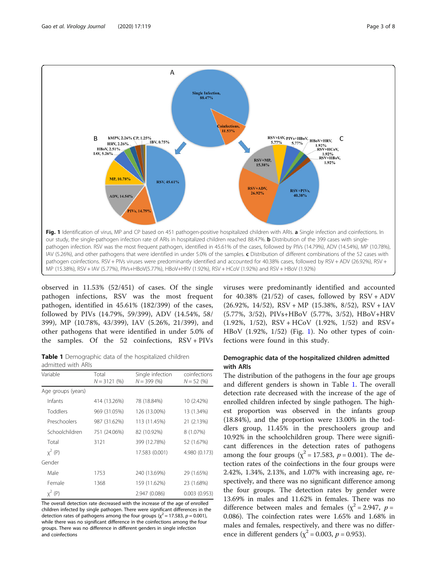

observed in 11.53% (52/451) of cases. Of the single pathogen infections, RSV was the most frequent pathogen, identified in 45.61% (182/399) of the cases, followed by PIVs (14.79%, 59/399), ADV (14.54%, 58/ 399), MP (10.78%, 43/399), IAV (5.26%, 21/399), and other pathogens that were identified in under 5.0% of the samples. Of the 52 coinfections, RSV + PIVs

Table 1 Demographic data of the hospitalized children admitted with ARIs

| Variable           | Total<br>$N = 3121 (%)$      | Single infection<br>$N = 399(%)$ | coinfections<br>$N = 52(%)$ |  |
|--------------------|------------------------------|----------------------------------|-----------------------------|--|
| Age groups (years) |                              |                                  |                             |  |
| Infants            | 414 (13.26%)                 | 78 (18.84%)                      | 10 (2.42%)                  |  |
| Toddlers           | 969 (31.05%)<br>126 (13.00%) |                                  | 13 (1.34%)                  |  |
| Preschoolers       | 987 (31.62%)                 | 113 (11.45%)                     | 21 (2.13%)                  |  |
| Schoolchildren     | 751 (24.06%)                 | 82 (10.92%)                      | 8 (1.07%)                   |  |
| Total              | 3121                         | 399 (12.78%)                     | 52 (1.67%)                  |  |
| $y^2$ (P)          |                              | 17.583 (0.001)                   | 4.980 (0.173)               |  |
| Gender             |                              |                                  |                             |  |
| Male               | 1753                         | 240 (13.69%)                     | 29 (1.65%)                  |  |
| Female             | 1368                         | 159 (11.62%)                     | 23 (1.68%)                  |  |
| $y^2$ (P)          |                              | 2.947 (0.086)                    | 0.003(0.953)                |  |

The overall detection rate decreased with the increase of the age of enrolled children infected by single pathogen. There were significant differences in the detection rates of pathogens among the four groups ( $\chi^2$  = 17.583, p = 0.001), while there was no significant difference in the coinfections among the four groups. There was no difference in different genders in single infection and coinfections

viruses were predominantly identified and accounted for 40.38%  $(21/52)$  of cases, followed by  $RSV + ADV$  $(26.92\%, 14/52)$ , RSV + MP  $(15.38\%, 8/52)$ , RSV + IAV (5.77%, 3/52), PIVs+HBoV (5.77%, 3/52), HBoV+HRV  $(1.92\%, 1/52)$ , RSV + HCoV  $(1.92\%, 1/52)$  and RSV + HBoV (1.92%, 1/52) (Fig. 1). No other types of coinfections were found in this study.

## Demographic data of the hospitalized children admitted with ARIs

The distribution of the pathogens in the four age groups and different genders is shown in Table 1. The overall detection rate decreased with the increase of the age of enrolled children infected by single pathogen. The highest proportion was observed in the infants group (18.84%), and the proportion were 13.00% in the toddlers group, 11.45% in the preschoolers group and 10.92% in the schoolchildren group. There were significant differences in the detection rates of pathogens among the four groups ( $\chi^2$  = 17.583,  $p$  = 0.001). The detection rates of the coinfections in the four groups were 2.42%, 1.34%, 2.13%, and 1.07% with increasing age, respectively, and there was no significant difference among the four groups. The detection rates by gender were 13.69% in males and 11.62% in females. There was no difference between males and females ( $\chi^2$  = 2.947, p = 0.086). The coinfection rates were 1.65% and 1.68% in males and females, respectively, and there was no difference in different genders ( $\chi^2$  = 0.003, *p* = 0.953).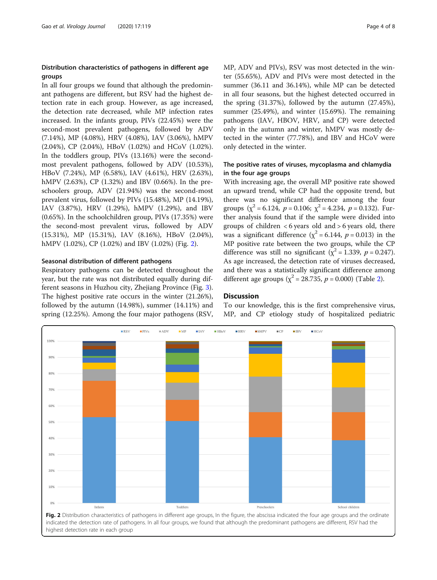## Distribution characteristics of pathogens in different age groups

In all four groups we found that although the predominant pathogens are different, but RSV had the highest detection rate in each group. However, as age increased, the detection rate decreased, while MP infection rates increased. In the infants group, PIVs (22.45%) were the second-most prevalent pathogens, followed by ADV (7.14%), MP (4.08%), HRV (4.08%), IAV (3.06%), hMPV (2.04%), CP (2.04%), HBoV (1.02%) and HCoV (1.02%). In the toddlers group, PIVs (13.16%) were the secondmost prevalent pathogens, followed by ADV (10.53%), HBoV (7.24%), MP (6.58%), IAV (4.61%), HRV (2.63%), hMPV (2.63%), CP (1.32%) and IBV (0.66%). In the preschoolers group, ADV (21.94%) was the second-most prevalent virus, followed by PIVs (15.48%), MP (14.19%), IAV (3.87%), HRV (1.29%), hMPV (1.29%), and IBV (0.65%). In the schoolchildren group, PIVs (17.35%) were the second-most prevalent virus, followed by ADV (15.31%), MP (15.31%), IAV (8.16%), HBoV (2.04%), hMPV (1.02%), CP (1.02%) and IBV (1.02%) (Fig. 2).

## Seasonal distribution of different pathogens

Respiratory pathogens can be detected throughout the year, but the rate was not distributed equally during different seasons in Huzhou city, Zhejiang Province (Fig. [3](#page-4-0)). The highest positive rate occurs in the winter (21.26%), followed by the autumn (14.98%), summer (14.11%) and spring (12.25%). Among the four major pathogens (RSV, MP, ADV and PIVs), RSV was most detected in the winter (55.65%), ADV and PIVs were most detected in the summer (36.11 and 36.14%), while MP can be detected in all four seasons, but the highest detected occurred in the spring (31.37%), followed by the autumn (27.45%), summer (25.49%), and winter (15.69%). The remaining pathogens (IAV, HBOV, HRV, and CP) were detected only in the autumn and winter, hMPV was mostly detected in the winter (77.78%), and IBV and HCoV were only detected in the winter.

## The positive rates of viruses, mycoplasma and chlamydia in the four age groups

With increasing age, the overall MP positive rate showed an upward trend, while CP had the opposite trend, but there was no significant difference among the four groups  $(\chi^2 = 6.124, p = 0.106; \chi^2 = 4.234, p = 0.132)$ . Further analysis found that if the sample were divided into groups of children  $\lt 6$  years old and  $> 6$  years old, there was a significant difference ( $\chi^2$  = 6.144,  $p$  = 0.013) in the MP positive rate between the two groups, while the CP difference was still no significant ( $\chi^2$  = 1.339, p = 0.247). As age increased, the detection rate of viruses decreased, and there was a statistically significant difference among different age groups ( $\chi^2$  = 28.735,  $p$  = 0.000) (Table [2\)](#page-4-0).

## **Discussion**

To our knowledge, this is the first comprehensive virus, MP, and CP etiology study of hospitalized pediatric



indicated the detection rate of pathogens. In all four groups, we found that although the predominant pathogens are different, RSV had the highest detection rate in each group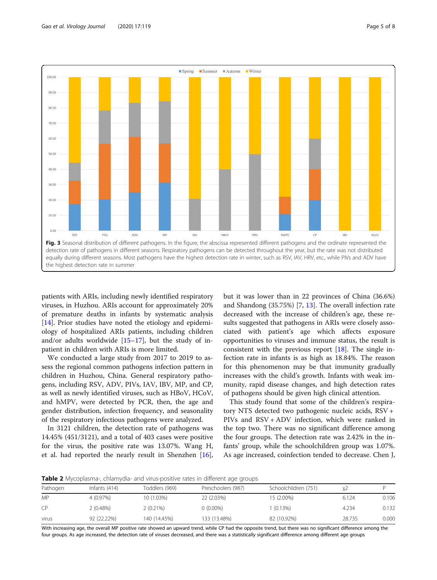<span id="page-4-0"></span>

patients with ARIs, including newly identified respiratory viruses, in Huzhou. ARIs account for approximately 20% of premature deaths in infants by systematic analysis [[14\]](#page-6-0). Prior studies have noted the etiology and epidemiology of hospitalized ARIs patients, including children and/or adults worldwide  $[15-17]$  $[15-17]$  $[15-17]$ , but the study of inpatient in children with ARIs is more limited.

We conducted a large study from 2017 to 2019 to assess the regional common pathogens infection pattern in children in Huzhou, China. General respiratory pathogens, including RSV, ADV, PIVs, IAV, IBV, MP, and CP, as well as newly identified viruses, such as HBoV, HCoV, and hMPV, were detected by PCR, then, the age and gender distribution, infection frequency, and seasonality of the respiratory infectious pathogens were analyzed.

In 3121 children, the detection rate of pathogens was 14.45% (451/3121), and a total of 403 cases were positive for the virus, the positive rate was 13.07%. Wang H, et al. had reported the nearly result in Shenzhen [\[16](#page-6-0)], but it was lower than in 22 provinces of China (36.6%) and Shandong (35.75%) [\[7,](#page-6-0) [13\]](#page-6-0). The overall infection rate decreased with the increase of children's age, these results suggested that pathogens in ARIs were closely associated with patient's age which affects exposure opportunities to viruses and immune status, the result is consistent with the previous report [[18\]](#page-6-0). The single infection rate in infants is as high as 18.84%. The reason for this phenomenon may be that immunity gradually increases with the child's growth. Infants with weak immunity, rapid disease changes, and high detection rates of pathogens should be given high clinical attention.

This study found that some of the children's respiratory NTS detected two pathogenic nucleic acids, RSV + PIVs and RSV + ADV infection, which were ranked in the top two. There was no significant difference among the four groups. The detection rate was 2.42% in the infants' group, while the schoolchildren group was 1.07%. As age increased, coinfection tended to decrease. Chen J,

Table 2 Mycoplasma-, chlamydia- and virus-positive rates in different age groups

| Pathogen  | Infants $(414)$ | Toddlers (969) | Preschoolers (987) | Schoolchildren (751) |        |       |
|-----------|-----------------|----------------|--------------------|----------------------|--------|-------|
| <b>MP</b> | 4 (0.97%)       | 10 (1.03%)     | 22 (2.03%)         | 15 (2.00%)           | 6.124  | 0.106 |
| CP.       | $2(0.48\%)$     | $2(0.21\%)$    | $0(0.00\%)$        | $(0.13\%)$           | 4.234  | 0.132 |
| virus     | 92 (22.22%)     | 140 (14.45%)   | 133 (13.48%)       | 82 (10.92%)          | 28.735 | 0.000 |

With increasing age, the overall MP positive rate showed an upward trend, while CP had the opposite trend, but there was no significant difference among the four groups. As age increased, the detection rate of viruses decreased, and there was a statistically significant difference among different age groups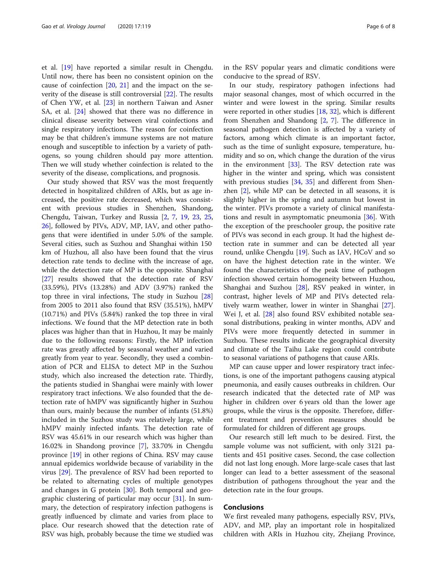et al. [[19](#page-6-0)] have reported a similar result in Chengdu. Until now, there has been no consistent opinion on the cause of coinfection [\[20](#page-6-0), [21\]](#page-6-0) and the impact on the severity of the disease is still controversial [\[22](#page-6-0)]. The results of Chen YW, et al. [\[23](#page-6-0)] in northern Taiwan and Asner SA, et al. [\[24](#page-6-0)] showed that there was no difference in clinical disease severity between viral coinfections and single respiratory infections. The reason for coinfection may be that children's immune systems are not mature enough and susceptible to infection by a variety of pathogens, so young children should pay more attention. Then we will study whether coinfection is related to the severity of the disease, complications, and prognosis.

Our study showed that RSV was the most frequently detected in hospitalized children of ARIs, but as age increased, the positive rate decreased, which was consistent with previous studies in Shenzhen, Shandong, Chengdu, Taiwan, Turkey and Russia [\[2](#page-6-0), [7](#page-6-0), [19,](#page-6-0) [23](#page-6-0), [25](#page-7-0), [26\]](#page-7-0), followed by PIVs, ADV, MP, IAV, and other pathogens that were identified in under 5.0% of the sample. Several cities, such as Suzhou and Shanghai within 150 km of Huzhou, all also have been found that the virus detection rate tends to decline with the increase of age, while the detection rate of MP is the opposite. Shanghai [[27\]](#page-7-0) results showed that the detection rate of RSV (33.59%), PIVs (13.28%) and ADV (3.97%) ranked the top three in viral infections, The study in Suzhou [[28](#page-7-0)] from 2005 to 2011 also found that RSV (35.51%), hMPV (10.71%) and PIVs (5.84%) ranked the top three in viral infections. We found that the MP detection rate in both places was higher than that in Huzhou, It may be mainly due to the following reasons: Firstly, the MP infection rate was greatly affected by seasonal weather and varied greatly from year to year. Secondly, they used a combination of PCR and ELISA to detect MP in the Suzhou study, which also increased the detection rate. Thirdly, the patients studied in Shanghai were mainly with lower respiratory tract infections. We also founded that the detection rate of hMPV was significantly higher in Suzhou than ours, mainly because the number of infants (51.8%) included in the Suzhou study was relatively large, while hMPV mainly infected infants. The detection rate of RSV was 45.61% in our research which was higher than 16.02% in Shandong province [[7\]](#page-6-0), 33.70% in Chengdu province [[19](#page-6-0)] in other regions of China. RSV may cause annual epidemics worldwide because of variability in the virus [\[29](#page-7-0)]. The prevalence of RSV had been reported to be related to alternating cycles of multiple genotypes and changes in G protein [\[30](#page-7-0)]. Both temporal and geographic clustering of particular may occur [[31\]](#page-7-0). In summary, the detection of respiratory infection pathogens is greatly influenced by climate and varies from place to place. Our research showed that the detection rate of RSV was high, probably because the time we studied was in the RSV popular years and climatic conditions were conducive to the spread of RSV.

In our study, respiratory pathogen infections had major seasonal changes, most of which occurred in the winter and were lowest in the spring. Similar results were reported in other studies [\[18](#page-6-0), [32](#page-7-0)], which is different from Shenzhen and Shandong [[2,](#page-6-0) [7](#page-6-0)]. The difference in seasonal pathogen detection is affected by a variety of factors, among which climate is an important factor, such as the time of sunlight exposure, temperature, humidity and so on, which change the duration of the virus in the environment  $[33]$  $[33]$ . The RSV detection rate was higher in the winter and spring, which was consistent with previous studies [[34](#page-7-0), [35](#page-7-0)] and different from Shenzhen [\[2](#page-6-0)], while MP can be detected in all seasons, it is slightly higher in the spring and autumn but lowest in the winter. PIVs promote a variety of clinical manifestations and result in asymptomatic pneumonia [[36\]](#page-7-0). With the exception of the preschooler group, the positive rate of PIVs was second in each group. It had the highest detection rate in summer and can be detected all year round, unlike Chengdu [[19](#page-6-0)]. Such as IAV, HCoV and so on have the highest detection rate in the winter. We found the characteristics of the peak time of pathogen infection showed certain homogeneity between Huzhou, Shanghai and Suzhou [\[28](#page-7-0)], RSV peaked in winter, in contrast, higher levels of MP and PIVs detected relatively warm weather, lower in winter in Shanghai [\[27](#page-7-0)]. Wei J, et al. [[28](#page-7-0)] also found RSV exhibited notable seasonal distributions, peaking in winter months, ADV and PIVs were more frequently detected in summer in Suzhou. These results indicate the geographical diversity and climate of the Taihu Lake region could contribute to seasonal variations of pathogens that cause ARIs.

MP can cause upper and lower respiratory tract infections, is one of the important pathogens causing atypical pneumonia, and easily causes outbreaks in children. Our research indicated that the detected rate of MP was higher in children over 6 years old than the lower age groups, while the virus is the opposite. Therefore, different treatment and prevention measures should be formulated for children of different age groups.

Our research still left much to be desired. First, the sample volume was not sufficient, with only 3121 patients and 451 positive cases. Second, the case collection did not last long enough. More large-scale cases that last longer can lead to a better assessment of the seasonal distribution of pathogens throughout the year and the detection rate in the four groups.

## Conclusions

We first revealed many pathogens, especially RSV, PIVs, ADV, and MP, play an important role in hospitalized children with ARIs in Huzhou city, Zhejiang Province,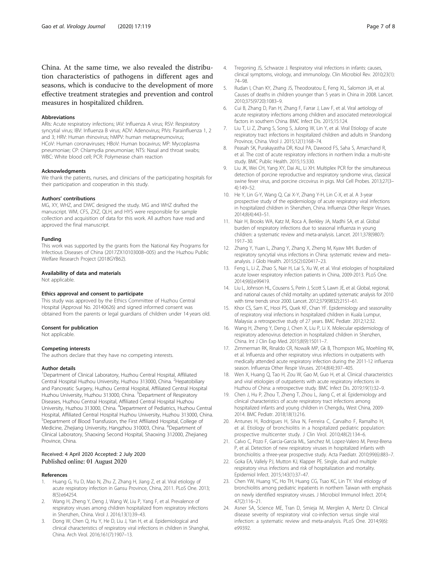<span id="page-6-0"></span>China. At the same time, we also revealed the distribution characteristics of pathogens in different ages and seasons, which is conducive to the development of more effective treatment strategies and prevention and control measures in hospitalized children.

#### Abbreviations

ARIs: Acute respiratory infections; IAV: Influenza A virus; RSV: Respiratory syncytial virus; IBV: Influenza B virus; ADV: Adenovirus; PIVs: Parainfluenza 1, 2 and 3; HRV: Human rhinovirus; hMPV: human metapneumovirus; HCoV: Human coronaviruses; HBoV: Human bocavirus; MP: Mycoplasma pneumoniae; CP: Chlamydia pneumoniae; NTS: Nasal and throat swabs; WBC: White blood cell; PCR: Polymerase chain reaction

#### Acknowledgments

We thank the patients, nurses, and clinicians of the participating hospitals for their participation and cooperation in this study.

#### Authors' contributions

MG, XY, WHZ, and DWC designed the study. MG and WHZ drafted the manuscript. WM, CFS, ZXZ, QLH, and HYS were responsible for sample collection and acquisition of data for this work. All authors have read and approved the final manuscript.

#### Funding

This work was supported by the grants from the National Key Programs for Infectious Diseases of China (2017ZX10103008–005) and the Huzhou Public Welfare Research Project (2018GYB62).

#### Availability of data and materials

Not applicable.

#### Ethics approval and consent to participate

This study was approved by the Ethics Committee of Huzhou Central Hospital (Approval No. 20140626) and signed informed consent was obtained from the parents or legal guardians of children under 14 years old.

#### Consent for publication

Not applicable.

#### Competing interests

The authors declare that they have no competing interests.

#### Author details

<sup>1</sup>Department of Clinical Laboratory, Huzhou Central Hospital, Affiliated Central Hospital Huzhou University, Huzhou 313000, China. <sup>2</sup>Hepatobiliary and Pancreatic Surgery, Huzhou Central Hospital, Affiliated Central Hospital Huzhou University, Huzhou 313000, China. <sup>3</sup> Department of Respiratory Diseases, Huzhou Central Hospital, Affiliated Central Hospital Huzhou University, Huzhou 313000, China. <sup>4</sup>Department of Pediatrics, Huzhou Central Hospital, Affiliated Central Hospital Huzhou University, Huzhou 313000, China. 5 Department of Blood Transfusion, the First Affiliated Hospital, College of Medicine, Zhejiang University, Hangzhou 310003, China. <sup>6</sup>Department of Clinical Laboratory, Shaoxing Second Hospital, Shaoxing 312000, Zhejianeg Province, China.

#### Received: 4 April 2020 Accepted: 2 July 2020 Published online: 01 August 2020

#### References

- 1. Huang G, Yu D, Mao N, Zhu Z, Zhang H, Jiang Z, et al. Viral etiology of acute respiratory infection in Gansu Province, China, 2011. PLoS One. 2013; 8(5):e64254.
- 2. Wang H, Zheng Y, Deng J, Wang W, Liu P, Yang F, et al. Prevalence of respiratory viruses among children hospitalized from respiratory infections in Shenzhen, China. Virol J. 2016;13(1):39–43.
- Dong W, Chen Q, Hu Y, He D, Liu J, Yan H, et al. Epidemiological and clinical characteristics of respiratory viral infections in children in Shanghai, China. Arch Virol. 2016;161(7):1907–13.
- 4. Tregoning JS, Schwarze J. Respiratory viral infections in infants: causes, clinical symptoms, virology, and immunology. Clin Microbiol Rev. 2010;23(1): 74–98.
- 5. Rudan I, Chan KY, Zhang JS, Theodoratou E, Feng XL, Salomon JA, et al. Causes of deaths in children younger than 5 years in China in 2008. Lancet. 2010;375(9720):1083–9.
- 6. Cui B, Zhang D, Pan H, Zhang F, Farrar J, Law F, et al. Viral aetiology of acute respiratory infections among children and associated meteorological factors in southern China. BMC Infect Dis. 2015;15:124.
- 7. Liu T, Li Z, Zhang S, Song S, Julong W, Lin Y, et al. Viral Etiology of acute respiratory tract infections in hospitalized children and adults in Shandong Province, China. Virol J. 2015;12(1):168–74.
- 8. Peasah SK, Purakayastha DR, Koul PA, Dawood FS, Saha S, Amarchand R, et al. The cost of acute respiratory infections in northern India: a multi-site study. BMC Public Health. 2015;15:330.
- 9. Liu JK, Wei CH, Yang XY, Dai AL, Li XH. Multiplex PCR for the simultaneous detection of porcine reproductive and respiratory syndrome virus, classical swine fever virus, and porcine circovirus in pigs. Mol Cell Probes. 2013;27(3– 4):149–52.
- 10. He Y, Lin G-Y, Wang Q, Cai X-Y, Zhang Y-H, Lin C-X, et al. A 3-year prospective study of the epidemiology of acute respiratory viral infections in hospitalized children in Shenzhen, China. Influenza Other Respir Viruses. 2014;8(4):443–51.
- 11. Nair H, Brooks WA, Katz M, Roca A, Berkley JA, Madhi SA, et al. Global burden of respiratory infections due to seasonal influenza in young children: a systematic review and meta-analysis. Lancet. 2011;378(9807): 1917–30.
- 12. Zhang Y, Yuan L, Zhang Y, Zhang X, Zheng M, Kyaw MH. Burden of respiratory syncytial virus infections in China: systematic review and meta– analysis. J Glob Health. 2015;5(2):020417–23.
- 13. Feng L, Li Z, Zhao S, Nair H, Lai S, Xu W, et al. Viral etiologies of hospitalized acute lower respiratory infection patients in China, 2009-2013. PLoS One. 2014;9(6):e99419.
- 14. Liu L, Johnson HL, Cousens S, Perin J, Scott S, Lawn JE, et al. Global, regional, and national causes of child mortality: an updated systematic analysis for 2010 with time trends since 2000. Lancet. 2012;379(9832):2151–61.
- 15. Khor CS, Sam IC, Hooi PS, Quek KF, Chan YF. Epidemiology and seasonality of respiratory viral infections in hospitalized children in Kuala Lumpur, Malaysia: a retrospective study of 27 years. BMC Pediatr. 2012;12:32.
- 16. Wang H, Zheng Y, Deng J, Chen X, Liu P, Li X. Molecular epidemiology of respiratory adenovirus detection in hospitalized children in Shenzhen, China. Int J Clin Exp Med. 2015;8(9):15011–7.
- 17. Zimmerman RK, Rinaldo CR, Nowalk MP, Gk B, Thompson MG, Moehling KK, et al. Influenza and other respiratory virus infections in outpatients with medically attended acute respiratory infection during the 2011-12 influenza season. Influenza Other Respir Viruses. 2014;8(4):397–405.
- 18. Wen X, Huang Q, Tao H, Zou W, Gao M, Guo H, et al. Clinical characteristics and viral etiologies of outpatients with acute respiratory infections in Huzhou of China: a retrospective study. BMC Infect Dis. 2019;19(1):32–9.
- 19. Chen J, Hu P, Zhou T, Zheng T, Zhou L, Jiang C, et al. Epidemiology and clinical characteristics of acute respiratory tract infections among hospitalized infants and young children in Chengdu, West China, 2009- 2014. BMC Pediatr. 2018;18(1):216.
- 20. Antunes H, Rodrigues H, Silva N, Ferreira C, Carvalho F, Ramalho H, et al. Etiology of bronchiolitis in a hospitalized pediatric population: prospective multicenter study. J Clin Virol. 2010;48(2):134–6.
- 21. Calvo C, Pozo F, Garcia-Garcia ML, Sanchez M, Lopez-Valero M, Perez-Brena P, et al. Detection of new respiratory viruses in hospitalized infants with bronchiolitis: a three-year prospective study. Acta Paediatr. 2010;99(6):883–7.
- 22. Goka EA, Vallely PJ, Mutton KJ, Klapper PE. Single, dual and multiple respiratory virus infections and risk of hospitalization and mortality. Epidemiol Infect. 2015;143(1):37–47.
- 23. Chen YW, Huang YC, Ho TH, Huang CG, Tsao KC, Lin TY. Viral etiology of bronchiolitis among pediatric inpatients in northern Taiwan with emphasis on newly identified respiratory viruses. J Microbiol Immunol Infect. 2014; 47(2):116–21.
- 24. Asner SA, Science ME, Tran D, Smieja M, Merglen A, Mertz D. Clinical disease severity of respiratory viral co-infection versus single viral infection: a systematic review and meta-analysis. PLoS One. 2014;9(6): e99392.